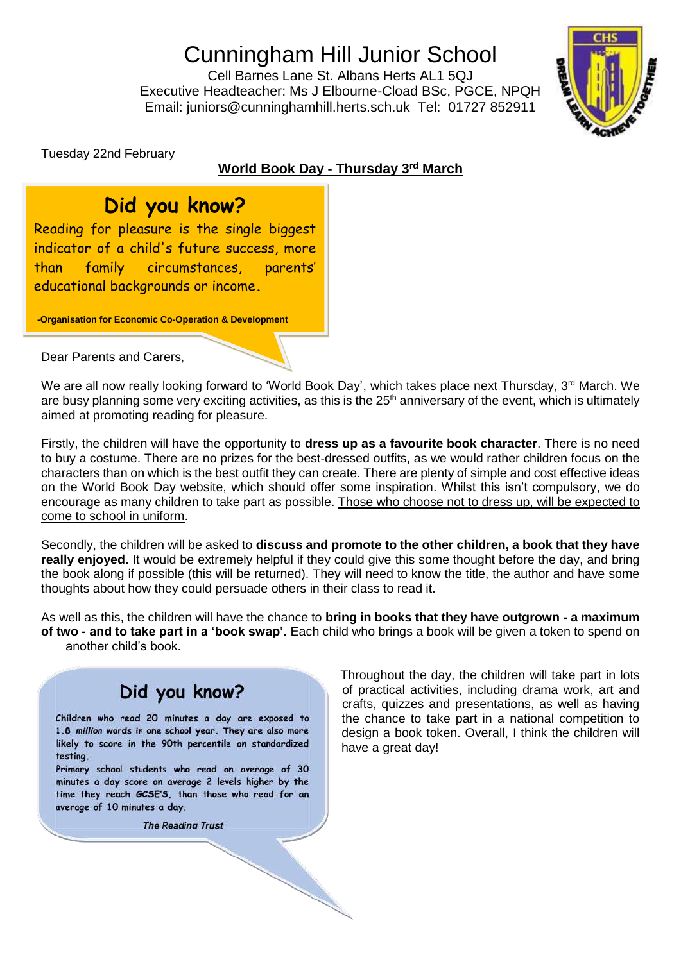# Cunningham Hill Junior School

Cell Barnes Lane St. Albans Herts AL1 5QJ Executive Headteacher: Ms J Elbourne-Cload BSc, PGCE, NPQH Email: juniors@cunninghamhill.herts.sch.uk Tel: 01727 852911



Tuesday 22nd February

#### **World Book Day - Thursday 3 rd March**

### **Did you know?**

Reading for pleasure is the single biggest indicator of a child's future success, more than family circumstances, parents' educational backgrounds or income**.**

**-Organisation for Economic Co-Operation & Development**

Dear Parents and Carers,

We are all now really looking forward to 'World Book Day', which takes place next Thursday, 3<sup>rd</sup> March. We are busy planning some very exciting activities, as this is the 25<sup>th</sup> anniversary of the event, which is ultimately aimed at promoting reading for pleasure.

Firstly, the children will have the opportunity to **dress up as a favourite book character**. There is no need to buy a costume. There are no prizes for the best-dressed outfits, as we would rather children focus on the characters than on which is the best outfit they can create. There are plenty of simple and cost effective ideas on the World Book Day website, which should offer some inspiration. Whilst this isn't compulsory, we do encourage as many children to take part as possible. Those who choose not to dress up, will be expected to come to school in uniform.

Secondly, the children will be asked to **discuss and promote to the other children, a book that they have really enjoyed.** It would be extremely helpful if they could give this some thought before the day, and bring the book along if possible (this will be returned). They will need to know the title, the author and have some thoughts about how they could persuade others in their class to read it.

As well as this, the children will have the chance to **bring in books that they have outgrown - a maximum of two - and to take part in a 'book swap'.** Each child who brings a book will be given a token to spend on another child's book.



**The Reading Trust** 

Throughout the day, the children will take part in lots of practical activities, including drama work, art and crafts, quizzes and presentations, as well as having the chance to take part in a national competition to design a book token. Overall, I think the children will have a great day!